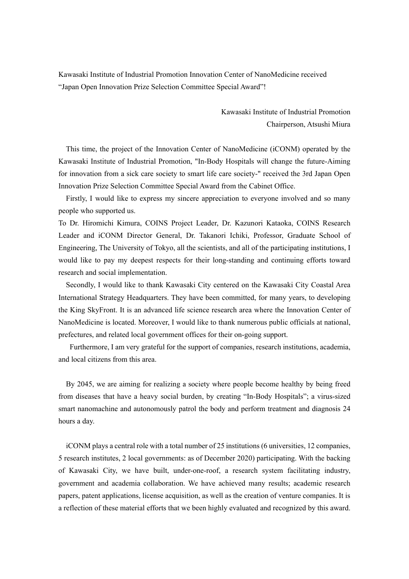Kawasaki Institute of Industrial Promotion Innovation Center of NanoMedicine received "Japan Open Innovation Prize Selection Committee Special Award"!

> Kawasaki Institute of Industrial Promotion Chairperson, Atsushi Miura

This time, the project of the Innovation Center of NanoMedicine (iCONM) operated by the Kawasaki Institute of Industrial Promotion, "In-Body Hospitals will change the future-Aiming for innovation from a sick care society to smart life care society-" received the 3rd Japan Open Innovation Prize Selection Committee Special Award from the Cabinet Office.

Firstly, I would like to express my sincere appreciation to everyone involved and so many people who supported us.

To Dr. Hiromichi Kimura, COINS Project Leader, Dr. Kazunori Kataoka, COINS Research Leader and iCONM Director General, Dr. Takanori Ichiki, Professor, Graduate School of Engineering, The University of Tokyo, all the scientists, and all of the participating institutions, I would like to pay my deepest respects for their long-standing and continuing efforts toward research and social implementation.

Secondly, I would like to thank Kawasaki City centered on the Kawasaki City Coastal Area International Strategy Headquarters. They have been committed, for many years, to developing the King SkyFront. It is an advanced life science research area where the Innovation Center of NanoMedicine is located. Moreover, I would like to thank numerous public officials at national, prefectures, and related local government offices for their on-going support.

Furthermore, I am very grateful for the support of companies, research institutions, academia, and local citizens from this area.

By 2045, we are aiming for realizing a society where people become healthy by being freed from diseases that have a heavy social burden, by creating "In-Body Hospitals"; a virus-sized smart nanomachine and autonomously patrol the body and perform treatment and diagnosis 24 hours a day.

iCONM plays a central role with a total number of 25 institutions (6 universities, 12 companies, 5 research institutes, 2 local governments: as of December 2020) participating. With the backing of Kawasaki City, we have built, under-one-roof, a research system facilitating industry, government and academia collaboration. We have achieved many results; academic research papers, patent applications, license acquisition, as well as the creation of venture companies. It is a reflection of these material efforts that we been highly evaluated and recognized by this award.